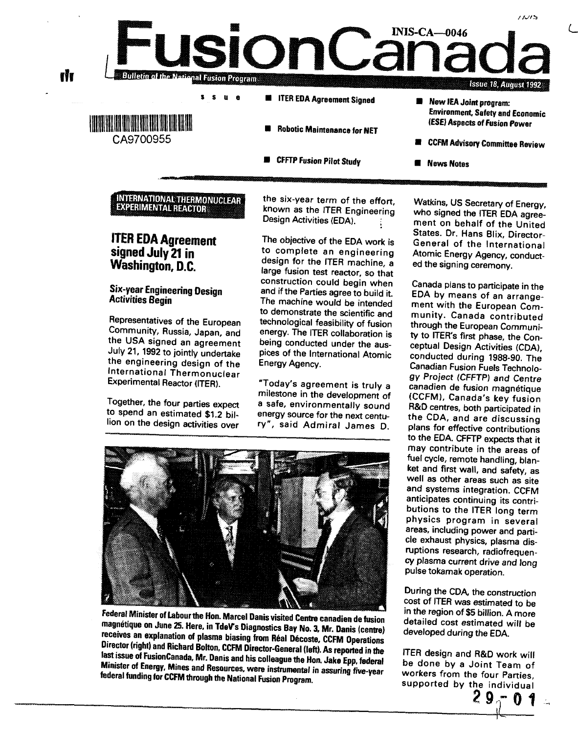**CFFTP Fusion Pilot Study**

- **CCFM Advisory Committee Review**
	- **News Notes**

**INTERNATIONAL THERMONUCLEAR EXPERIMENTAL REACTOR**

**ITER EDA Agreement signed July 21 in Washington, D.C.**

Six-year Engineering Design Activities Begin

Representatives of the European Community, Russia, Japan, and the USA signed an agreement July 21, 1992 to jointly undertake the engineering design of the International Thermonuclear Experimental Reactor (ITER).

Together, the four parties expect to spend an estimated \$1.2 billion on the design activities over

the six-year term of the effort, known as the ITER Engineering Design Activities (EDA).

The objective of the EDA work is to complete an engineering design for the ITER machine, a large fusion test reactor, so that construction could begin when and if the Parties agree to build it. The machine would be intended to demonstrate the scientific and technological feasibility of fusion energy. The ITER collaboration is being conducted under the auspices of the International Atomic Energy Agency.

"Today's agreement is truly a milestone in the development of a safe, environmentally sound energy source for the next century", said Admiral James D.

Federal Minister of Labour the Hon. Marcel Danis visited Centre canadien de fusion magnefique on June 25. Here, in TdeVs Diagnostics Bay No. 3, Mr. Danis (centre) receives an explanation of plasma biasing from Réal Décoste, CCFM Operations Director (right) and Richard Bolton, CCFM Director-General (left). As reported in the fest issue of FusionCanada. Mr. Danis and his colleague the Hon. Jake Epp. federal Minister of Energy Mines and Resources, were instrumental in assuring five-year federal funding for CCFM through the National Fusion Program

Watkins, US Secretary of Energy, who signed the ITER EDA agreement on behalf of the United States. Dr. Hans Blix, Director-General of the International Atomic Energy Agency, conducted the signing ceremony.

Canada plans to participate in the EDA by means of an arrangement with the European Community. Canada contributed through the European Community to ITER's first phase, the Conceptual Design Activities (CDA), conducted during 1988-90. The Canadian Fusion Fuels Technology Project (CFFTP) and Centre canadien de fusion magnetique (CCFM), Canada's key fusion R&D centres, both participated in the CDA, and are discussing plans for effective contributions to the EDA. CFFTP expects that it may contribute in the areas of fuel cycle, remote handling, blanket and first wall, and safety, as well as other areas such as site and systems integration. CCFM anticipates continuing its contributions to the ITER long term physics program in several areas, including power and particle exhaust physics, plasma disruptions research, radiofrequency plasma current drive and long pulse tokamak operation.

During the CDA, the construction cost of ITER was estimated to be in the region of \$5 billion. A more detailed cost estimated will be developed during the EDA.

ITER design and R&D work will be done by a Joint Team of workers from the four Parties, supported by the individual

**2**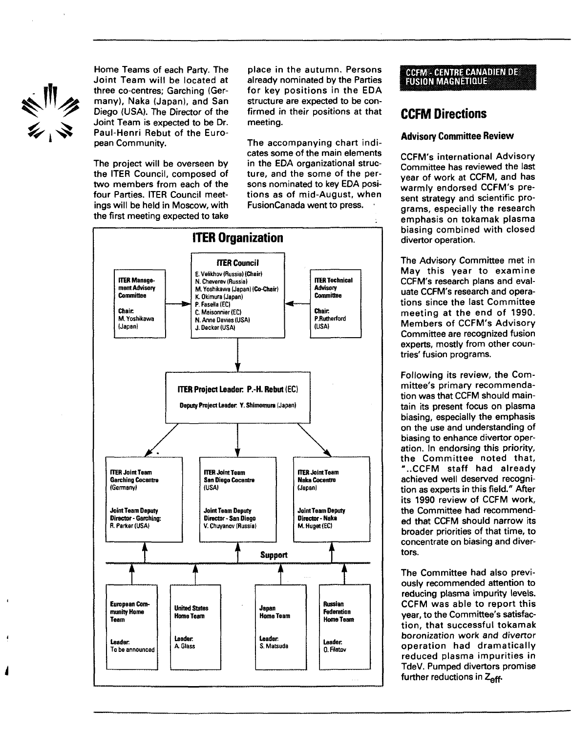

Home Teams of each Party. The Joint Team will be located at three co-centres; Garching (Germany), Naka (Japan), and San Diego (USA). The Director of the Joint Team is expected to be Dr. Paul-Henri Rebut of the European Community.

The project will be overseen by the ITER Council, composed of two members from each of the four Parties. ITER Council meetings will be held in Moscow, with the first meeting expected to take

place in the autumn. Persons already nominated by the Parties for key positions in the EDA structure are expected to be confirmed in their positions at that meeting.

The accompanying chart indicates some of the main elements in the EDA organizational structure, and the some of the persons nominated to key EDA positions as of mid-August, when FusionCanada went to press. •



#### **CCFM - CENTRE CANADIEN DE FUSION MAGNETIQUE**

## **CCFM Directions**

#### **Advisory Committee Review**

CCFM's international Advisory Committee has reviewed the last year of work at CCFM, and has warmly endorsed CCFM's present strategy and scientific programs, especially the research emphasis on tokamak plasma biasing combined with closed divertor operation.

The Advisory Committee met in May this year to examine CCFM's research plans and evaluate CCFM's research and operations since the last Committee meeting at the end of 1990. Members of CCFM's Advisory Committee are recognized fusion experts, mostly from other countries' fusion programs.

Following its review, the Committee's primary recommendation was that CCFM should maintain its present focus on plasma biasing, especially the emphasis on the use and understanding of biasing to enhance divertor operation. In endorsing this priority, the Committee noted that, "..CCFM staff had already achieved well deserved recognition as experts in this field." After its 1990 review of CCFM work, the Committee had recommended that CCFM should narrow its broader priorities of that time, to concentrate on biasing and divertors.

The Committee had also previously recommended attention to reducing plasma impurity levels. CCFM was able to report this year, to the Committee's satisfaction, that successful tokamak boronization work and divertor operation had dramatically reduced plasma impurities in TdeV. Pumped divertors promise further reductions in  $Z_{\text{off}}$ .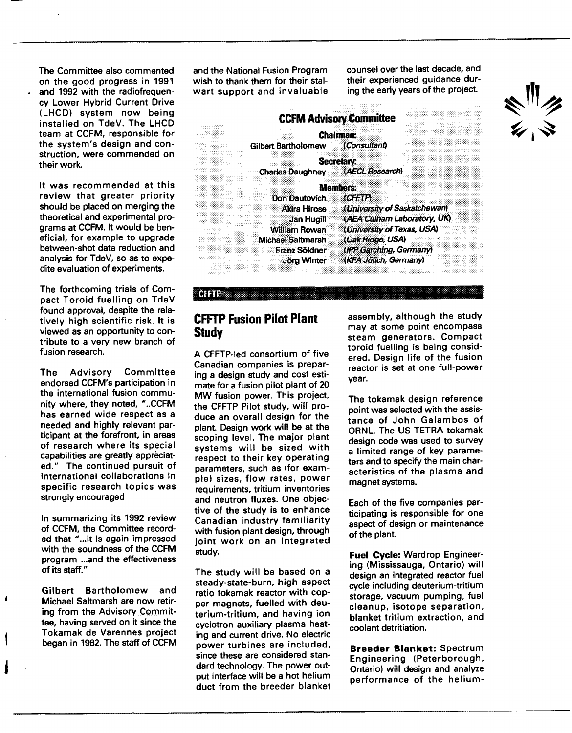The Committee also commented on the good progress in 1991 and 1992 with the radiofrequency Lower Hybrid Current Drive (LHCD) system now being installed on TdeV. The LHCD team at CCFM, responsible for the system's design and construction, were commended on their work.

It was recommended at this review that greater priority should be placed on merging the theoretical and experimental programs at CCFM. It would be beneficial, for example to upgrade between-shot data reduction and analysis for TdeV, so as to expedite evaluation of experiments.

The forthcoming trials of Compact Toroid fuelling on TdeV found approval, despite the relatively high scientific risk. It is viewed as an opportunity to contribute to a very new branch of fusion research.

The Advisory Committee endorsed CCFM's participation in the international fusion community where, they noted, "..CCFM has earned wide respect as a needed and highly relevant participant at the forefront, in areas of research where its special capabilities are greatly appreciated." The continued pursuit of international collaborations in specific research topics was strongly encouraged

In summarizing its 1992 review of CCFM, the Committee recorded that "...it is again impressed with the soundness of the CCFM program ...and the effectiveness of its staff."

Gilbert Bartholomew and Michael Saltmarsh are now retiring from the Advisory Committee, having served on it since the Tokamak de Varennes project began in 1982. The staff of CCFM

A

and the National Fusion Program wish to thank them for their stalwart support and invaluable counsel over the last decade, and their experienced guidance during the early years of the project.



## **CFFTP Fusion Pilot Plant Study**

**CHETP** 

A CFFTP-led consortium of five Canadian companies is preparing a design study and cost estimate for a fusion pilot plant of 20 MW fusion power. This project, the CFFTP Pilot study, will produce an overall design for the plant. Design work will be at the scoping level. The major plant systems will be sized with respect to their key operating parameters, such as (for example) sizes, flow rates, power requirements, tritium inventories and neutron fluxes. One objective of the study is to enhance Canadian industry familiarity with fusion plant design, through joint work on an integrated study.

The study will be based on a steady-state-burn, high aspect ratio tokamak reactor with copper magnets, fuelled with deuterium-tritium, and having ion cyclotron auxiliary plasma heating and current drive. No electric power turbines are included, since these are considered standard technology. The power output interface will be a hot helium duct from the breeder blanket assembly, although the study may at some point encompass steam generators. Compact toroid fuelling is being considered. Design life of the fusion reactor is set at one full-power year.

The tokamak design reference point was selected with the assistance of John Galambos of ORNL The US TETRA tokamak design code was used to survey a limited range of key parameters and to specify the main characteristics of the plasma and magnet systems.

Each of the five companies participating is responsible for one aspect of design or maintenance of the plant.

**Fuel Cycle:** Wardrop Engineering (Mississauga, Ontario) will design an integrated reactor fuel cycle including deuterium-tritium storage, vacuum pumping, fuel cleanup, isotope separation, blanket tritium extraction, and coolant detritiation.

**Breeder Blanket:** Spectrum Engineering (Peterborough, Ontario) will design and analyze performance of the helium-

ミリン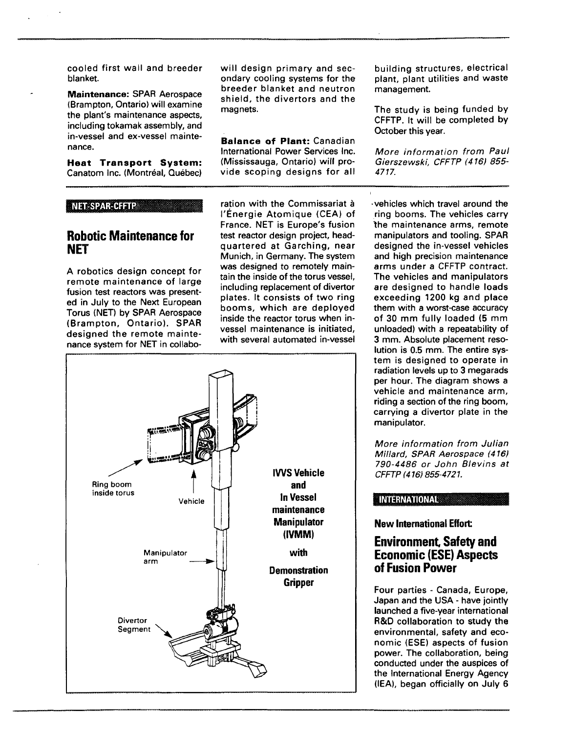cooled first wall and breeder blanket.

**Maintenance:** SPAR Aerospace (Brampton, Ontario) will examine the plant's maintenance aspects, including tokamak assembly, and in-vessel and ex-vessel maintenance.

**Heat Transport System:** Canatom Inc. (Montréal, Québec)

#### **NET-SPAR-CFFTP**

## **Robotic Maintenance for NET**

A robotics design concept for remote maintenance of large fusion test reactors was presented in July to the Next European Torus (NET) by SPAR Aerospace (Brampton, Ontario). SPAR designed the remote maintenance system for NET in collabowill design primary and secondary cooling systems for the breeder blanket and neutron shield, the divertors and the magnets.

**Balance of Plant:** Canadian International Power Services Inc. (Mississauga, Ontario) will provide scoping designs for all building structures, electrical plant, plant utilities and waste management.

The study is being funded by CFFTP. It will be completed by October this year.

More information from Paul Gierszewski, CFFTP (416) 855- 4717.

ration with the Commissariat à I'Energie Atomique (CEA) of France. NET is Europe's fusion test reactor design project, headquartered at Garching, near Munich, in Germany. The system was designed to remotely maintain the inside of the torus vessel, including replacement of divertor plates. It consists of two ring booms, which are deployed inside the reactor torus when invessel maintenance is initiated, with several automated in-vessel



•vehicles which travel around the ring booms. The vehicles carry the maintenance arms, remote manipulators and tooling. SPAR designed the in-vessel vehicles and high precision maintenance arms under a CFFTP contract. The vehicles and manipulators are designed to handle loads exceeding 1200 kg and place them with a worst-case accuracy of 30 mm fully loaded (5 mm unloaded) with a repeatability of 3 mm. Absolute placement resolution is 0.5 mm. The entire system is designed to operate in radiation levels up to 3 megarads per hour. The diagram shows a vehicle and maintenance arm, riding a section of the ring boom, carrying a divertor plate in the manipulator.

More information from Julian Millard, SPAR Aerospace (416) 790-4486 or John Blevins at CFFTP (416) 855-4721.

#### INTERNATIONAL;

**New International Effort**

### **Environment, Safety and Economic (ESE) Aspects of Fusion Power**

Four parties - Canada, Europe, Japan and the USA - have jointly launched a five-year international R&D collaboration to study the environmental, safety and economic (ESE) aspects of fusion power. The collaboration, being conducted under the auspices of the International Energy Agency (IEA), began officially on July 6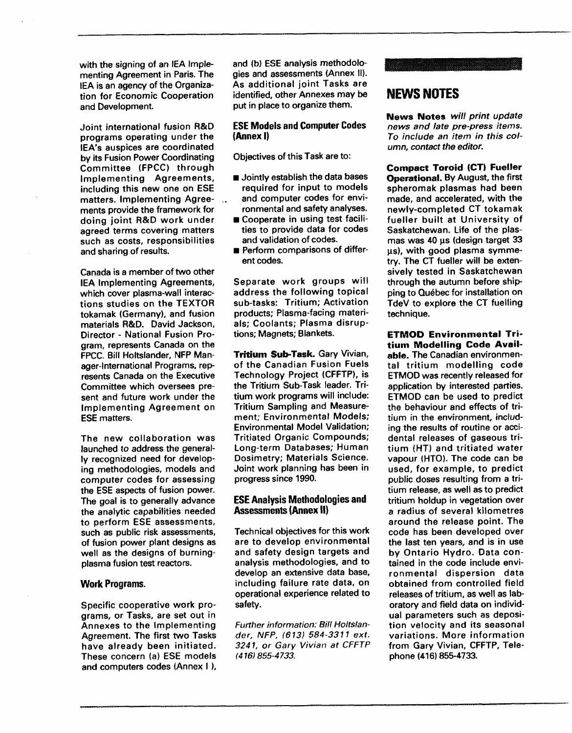with the signing of an IEA Implementing Agreement in Paris. The IEA is an agency of the Organization for Economic Cooperation and Development.

Joint international fusion R&D programs operating under the lEA's auspices are coordinated by its Fusion Power Coordinating Committee (FPCC) through Implementing Agreements, including this new one on ESE matters. Implementing Agreements provide the framework for doing joint R&D work under agreed terms covering matters such as costs, responsibilities and sharing of results.

Canada is a member of two other IEA Implementing Agreements, which cover plasma-wall interactions studies on the TEXTOR tokamak (Germany), and fusion materials R&D. David Jackson, Director - National Fusion Program, represents Canada on the FPCC. Bill Holtslander, NFP Manager-International Programs, represents Canada on the Executive Committee which oversees present and future work under the Implementing Agreement on ESE matters.

The new collaboration was launched to address the generally recognized need for developing methodologies, models and computer codes for assessing the ESE aspects of fusion power. The goal is to generally advance the analytic capabilities needed to perform ESE assessments, such as public risk assessments, of fusion power plant designs as well as the designs of burningplasma fusion test reactors.

#### **Work Programs.**

Specific cooperative work programs, or Tasks, are set out in Annexes to the Implementing Agreement. The first two Tasks have already been initiated. These concern (a) ESE models and computers codes (Annex I ),

and (b) ESE analysis methodologies and assessments (Annex II). As additional joint Tasks are identified, other Annexes may be put in place to organize them.

#### **ESE Models and Computer Codes (Annex I)**

Objectives of this Task are to:

- $\blacksquare$  Jointly establish the data bases required for input to models and computer codes for environmental and safety analyses.
- $\blacksquare$  Cooperate in using test facilities to provide data for codes and validation of codes.
- **Perform comparisons of differ**ent codes.

Separate work groups will address the following topical sub-tasks: Tritium; Activation products; Plasma-facing materials; Coolants; Plasma disruptions; Magnets; Blankets.

**Tritium Sub-Task.** Gary Vivian, of the Canadian Fusion Fuels Technology Project (CFFTP), is the Tritium Sub-Task leader. Tritium work programs will include: Tritium Sampling and Measurement; Environmental Models; Environmental Model Validation; Tritiated Organic Compounds; Long-term Databases; Human Dosimetry; Materials Science. Joint work planning has been in progress since 1990.

#### **ESE Analysis Methodologies and Assessments (Annex II)**

Technical objectives for this work are to develop environmental and safety design targets and analysis methodologies, and to develop an extensive data base, including failure rate data, on operational experience related to safety.

Further information: Bill Holtslander, NFP, (613) 584-3311 ext. 3241, or Gary Vivian at CFFTP (416) 855-4733.

## **NEWS NOTES**

**News Notes** will print update news and late pre-press items. To include an item in this column, contact the editor.

**Compact Toroid (CT) Fueller Operational.** By August, the first spheromak plasmas had been made, and accelerated, with the newly-completed CT tokamak fueller built at University of Saskatchewan. Life of the plasmas was 40 us (design target 33 us), with good plasma symmetry. The CT fueller will be extensively tested in Saskatchewan through the autumn before shipping to Quebec for installation on TdeV to explore the CT fuelling technique.

**ETMOD Environmental Tritium Modelling Code Available.** The Canadian environmental tritium modelling code ETMOD was recently released for application by interested parties. ETMOD can be used to predict the behaviour and effects of tritium in the environment, including the results of routine or accidental releases of gaseous tritium (HT) and tritiated water vapour (HTO). The code can be used, for example, to predict public doses resulting from a tritium release, as well as to predict tritium holdup in vegetation over a radius of several kilometres around the release point. The code has been developed over the last ten years, and is in use by Ontario Hydro. Data contained in the code include environmental dispersion data obtained from controlled field releases of tritium, as well as laboratory and field data on individual parameters such as deposition velocity and its seasonal variations. More information from Gary Vivian, CFFTP, Telephone (416) 855-4733.